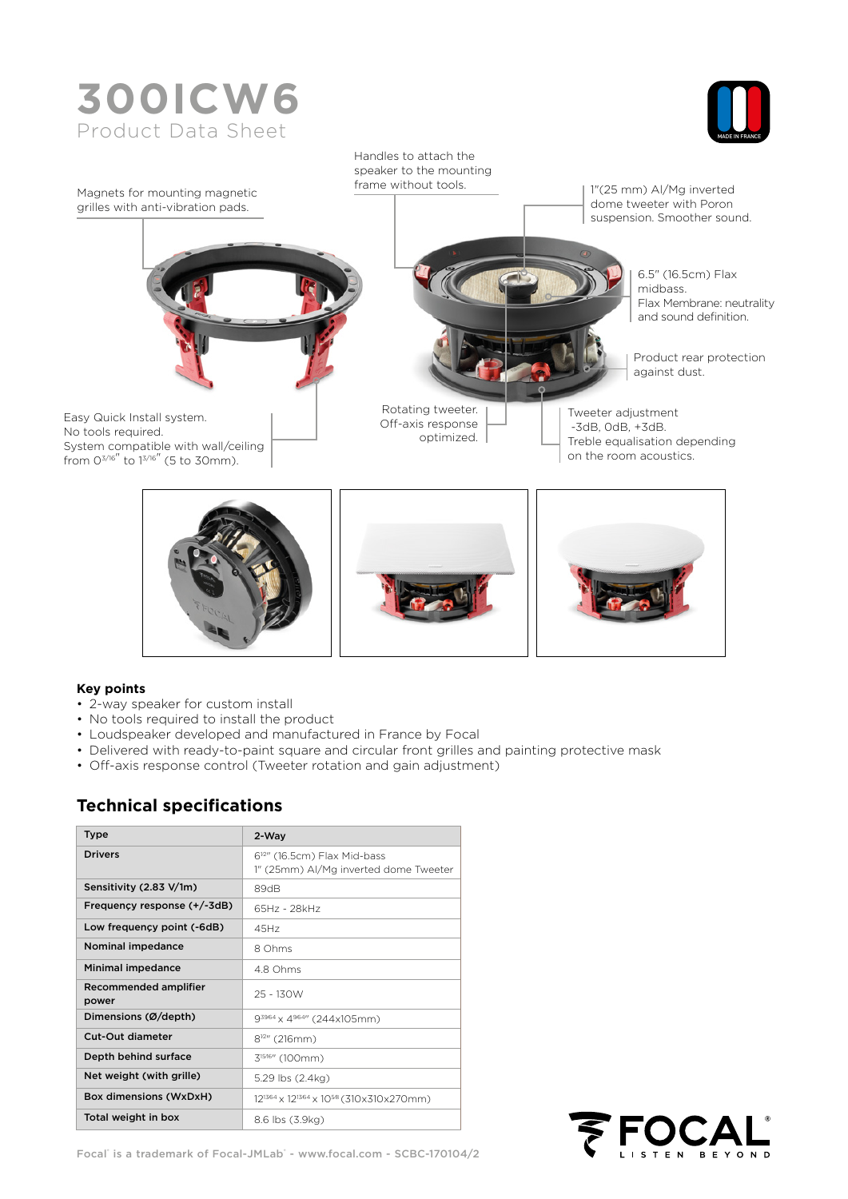# **300ICW6**  Product Data Sheet





#### **Key points**

- 2-way speaker for custom install
- No tools required to install the product
- Loudspeaker developed and manufactured in France by Focal
- Delivered with ready-to-paint square and circular front grilles and painting protective mask
- Off-axis response control (Tweeter rotation and gain adjustment)

### **Technical specifications**

| <b>Type</b>                    | 2-Way                                                                           |  |  |  |
|--------------------------------|---------------------------------------------------------------------------------|--|--|--|
| <b>Drivers</b>                 | 6 <sup>12</sup> (16.5cm) Flax Mid-bass<br>1" (25mm) Al/Mg inverted dome Tweeter |  |  |  |
| Sensitivity (2.83 V/1m)        | 89dB                                                                            |  |  |  |
| Frequency response (+/-3dB)    | 65Hz - 28kHz                                                                    |  |  |  |
| Low frequency point (-6dB)     | 45Hz                                                                            |  |  |  |
| Nominal impedance              | 8 Ohms                                                                          |  |  |  |
| Minimal impedance              | 48 Ohms                                                                         |  |  |  |
| Recommended amplifier<br>power | 25 - 130W                                                                       |  |  |  |
| Dimensions (Ø/depth)           | 93964 x 4964" (244x105mm)                                                       |  |  |  |
| Cut-Out diameter               | $8^{12}$ " (216mm)                                                              |  |  |  |
| Depth behind surface           | 3 <sup>1516</sup> " (100mm)                                                     |  |  |  |
| Net weight (with grille)       | 5.29 lbs (2.4kg)                                                                |  |  |  |
| Box dimensions (WxDxH)         | 12 <sup>1364</sup> x 12 <sup>1364</sup> x 10 <sup>58</sup> (310x310x270mm)      |  |  |  |
| Total weight in box            | 8.6 lbs (3.9kg)                                                                 |  |  |  |